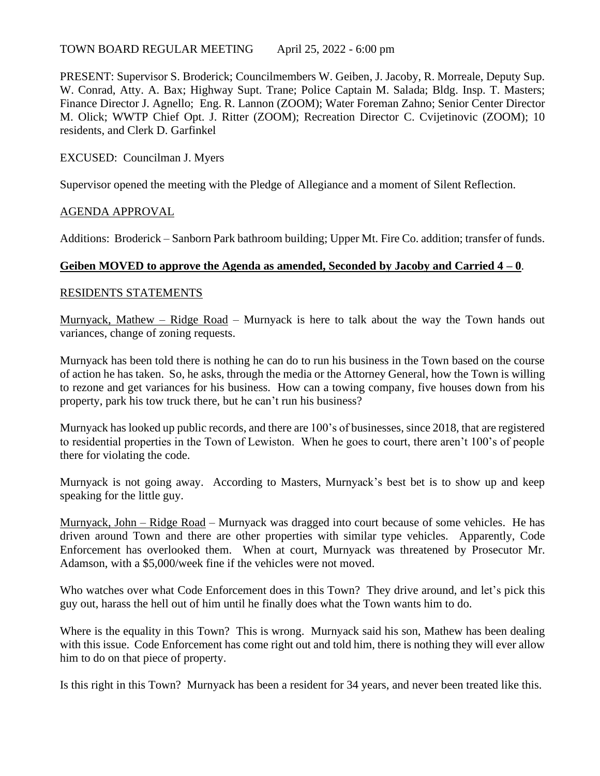#### TOWN BOARD REGULAR MEETING April 25, 2022 - 6:00 pm

PRESENT: Supervisor S. Broderick; Councilmembers W. Geiben, J. Jacoby, R. Morreale, Deputy Sup. W. Conrad, Atty. A. Bax; Highway Supt. Trane; Police Captain M. Salada; Bldg. Insp. T. Masters; Finance Director J. Agnello; Eng. R. Lannon (ZOOM); Water Foreman Zahno; Senior Center Director M. Olick; WWTP Chief Opt. J. Ritter (ZOOM); Recreation Director C. Cvijetinovic (ZOOM); 10 residents, and Clerk D. Garfinkel

### EXCUSED: Councilman J. Myers

Supervisor opened the meeting with the Pledge of Allegiance and a moment of Silent Reflection.

### AGENDA APPROVAL

Additions: Broderick – Sanborn Park bathroom building; Upper Mt. Fire Co. addition; transfer of funds.

### **Geiben MOVED to approve the Agenda as amended, Seconded by Jacoby and Carried 4 – 0**.

#### RESIDENTS STATEMENTS

Murnyack, Mathew – Ridge Road – Murnyack is here to talk about the way the Town hands out variances, change of zoning requests.

Murnyack has been told there is nothing he can do to run his business in the Town based on the course of action he has taken. So, he asks, through the media or the Attorney General, how the Town is willing to rezone and get variances for his business. How can a towing company, five houses down from his property, park his tow truck there, but he can't run his business?

Murnyack has looked up public records, and there are 100's of businesses, since 2018, that are registered to residential properties in the Town of Lewiston. When he goes to court, there aren't 100's of people there for violating the code.

Murnyack is not going away. According to Masters, Murnyack's best bet is to show up and keep speaking for the little guy.

Murnyack, John – Ridge Road – Murnyack was dragged into court because of some vehicles. He has driven around Town and there are other properties with similar type vehicles. Apparently, Code Enforcement has overlooked them. When at court, Murnyack was threatened by Prosecutor Mr. Adamson, with a \$5,000/week fine if the vehicles were not moved.

Who watches over what Code Enforcement does in this Town? They drive around, and let's pick this guy out, harass the hell out of him until he finally does what the Town wants him to do.

Where is the equality in this Town? This is wrong. Murnyack said his son, Mathew has been dealing with this issue. Code Enforcement has come right out and told him, there is nothing they will ever allow him to do on that piece of property.

Is this right in this Town? Murnyack has been a resident for 34 years, and never been treated like this.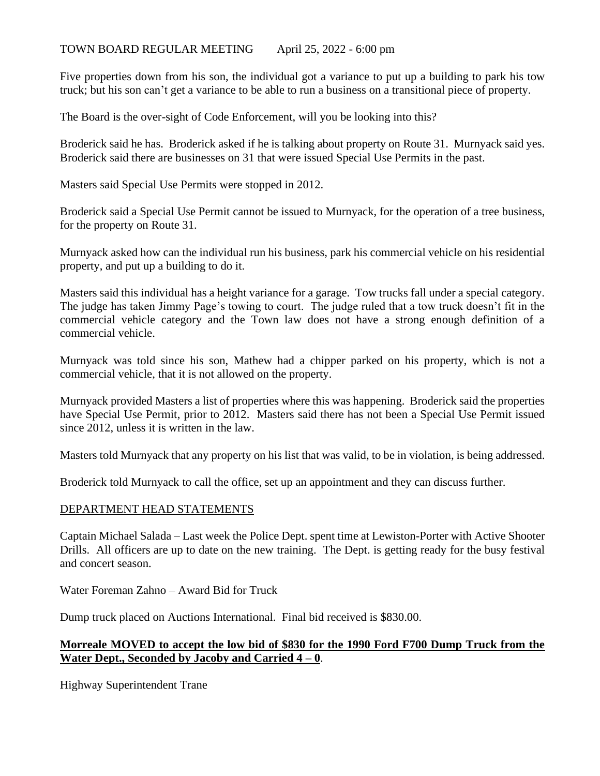### TOWN BOARD REGULAR MEETING April 25, 2022 - 6:00 pm

Five properties down from his son, the individual got a variance to put up a building to park his tow truck; but his son can't get a variance to be able to run a business on a transitional piece of property.

The Board is the over-sight of Code Enforcement, will you be looking into this?

Broderick said he has. Broderick asked if he is talking about property on Route 31. Murnyack said yes. Broderick said there are businesses on 31 that were issued Special Use Permits in the past.

Masters said Special Use Permits were stopped in 2012.

Broderick said a Special Use Permit cannot be issued to Murnyack, for the operation of a tree business, for the property on Route 31.

Murnyack asked how can the individual run his business, park his commercial vehicle on his residential property, and put up a building to do it.

Masters said this individual has a height variance for a garage. Tow trucks fall under a special category. The judge has taken Jimmy Page's towing to court. The judge ruled that a tow truck doesn't fit in the commercial vehicle category and the Town law does not have a strong enough definition of a commercial vehicle.

Murnyack was told since his son, Mathew had a chipper parked on his property, which is not a commercial vehicle, that it is not allowed on the property.

Murnyack provided Masters a list of properties where this was happening. Broderick said the properties have Special Use Permit, prior to 2012. Masters said there has not been a Special Use Permit issued since 2012, unless it is written in the law.

Masters told Murnyack that any property on his list that was valid, to be in violation, is being addressed.

Broderick told Murnyack to call the office, set up an appointment and they can discuss further.

#### DEPARTMENT HEAD STATEMENTS

Captain Michael Salada – Last week the Police Dept. spent time at Lewiston-Porter with Active Shooter Drills. All officers are up to date on the new training. The Dept. is getting ready for the busy festival and concert season.

Water Foreman Zahno – Award Bid for Truck

Dump truck placed on Auctions International. Final bid received is \$830.00.

# **Morreale MOVED to accept the low bid of \$830 for the 1990 Ford F700 Dump Truck from the Water Dept., Seconded by Jacoby and Carried 4 – 0**.

Highway Superintendent Trane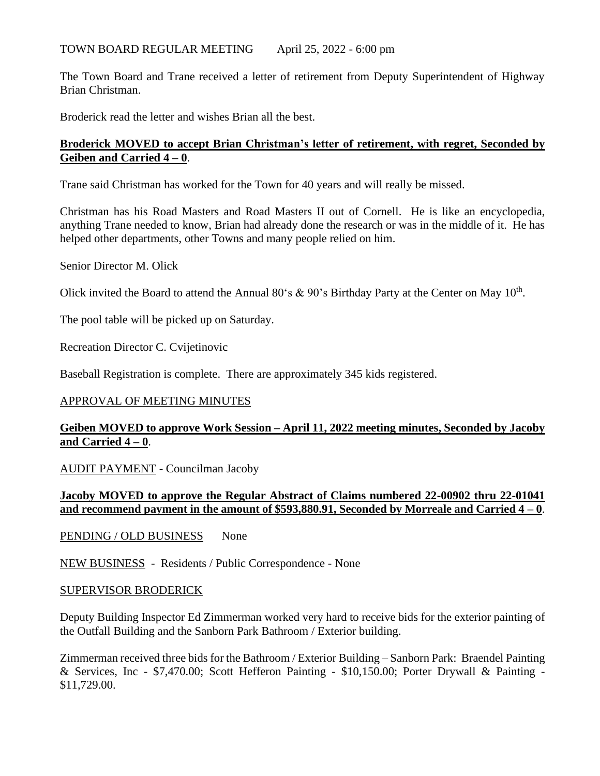The Town Board and Trane received a letter of retirement from Deputy Superintendent of Highway Brian Christman.

Broderick read the letter and wishes Brian all the best.

## **Broderick MOVED to accept Brian Christman's letter of retirement, with regret, Seconded by Geiben and Carried 4 – 0**.

Trane said Christman has worked for the Town for 40 years and will really be missed.

Christman has his Road Masters and Road Masters II out of Cornell. He is like an encyclopedia, anything Trane needed to know, Brian had already done the research or was in the middle of it. He has helped other departments, other Towns and many people relied on him.

Senior Director M. Olick

Olick invited the Board to attend the Annual 80's & 90's Birthday Party at the Center on May  $10^{th}$ .

The pool table will be picked up on Saturday.

Recreation Director C. Cvijetinovic

Baseball Registration is complete. There are approximately 345 kids registered.

## APPROVAL OF MEETING MINUTES

## **Geiben MOVED to approve Work Session – April 11, 2022 meeting minutes, Seconded by Jacoby and Carried 4 – 0**.

AUDIT PAYMENT - Councilman Jacoby

## **Jacoby MOVED to approve the Regular Abstract of Claims numbered 22-00902 thru 22-01041 and recommend payment in the amount of \$593,880.91, Seconded by Morreale and Carried 4 – 0**.

PENDING / OLD BUSINESS None

NEW BUSINESS - Residents / Public Correspondence - None

#### SUPERVISOR BRODERICK

Deputy Building Inspector Ed Zimmerman worked very hard to receive bids for the exterior painting of the Outfall Building and the Sanborn Park Bathroom / Exterior building.

Zimmerman received three bids for the Bathroom / Exterior Building – Sanborn Park: Braendel Painting & Services, Inc - \$7,470.00; Scott Hefferon Painting - \$10,150.00; Porter Drywall & Painting - \$11,729.00.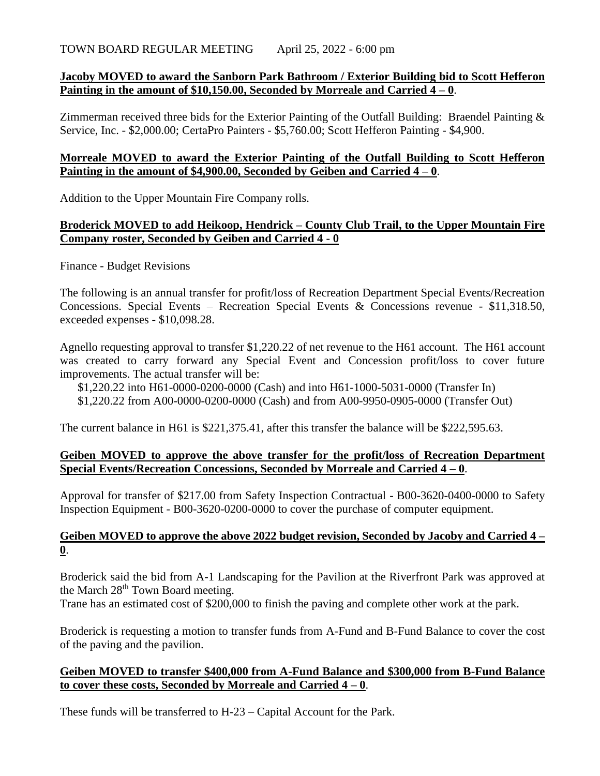### **Jacoby MOVED to award the Sanborn Park Bathroom / Exterior Building bid to Scott Hefferon Painting in the amount of \$10,150.00, Seconded by Morreale and Carried 4 – 0**.

Zimmerman received three bids for the Exterior Painting of the Outfall Building: Braendel Painting & Service, Inc. - \$2,000.00; CertaPro Painters - \$5,760.00; Scott Hefferon Painting - \$4,900.

### **Morreale MOVED to award the Exterior Painting of the Outfall Building to Scott Hefferon Painting in the amount of \$4,900.00, Seconded by Geiben and Carried 4 – 0**.

Addition to the Upper Mountain Fire Company rolls.

### **Broderick MOVED to add Heikoop, Hendrick – County Club Trail, to the Upper Mountain Fire Company roster, Seconded by Geiben and Carried 4 - 0**

Finance - Budget Revisions

The following is an annual transfer for profit/loss of Recreation Department Special Events/Recreation Concessions. Special Events – Recreation Special Events & Concessions revenue - \$11,318.50, exceeded expenses - \$10,098.28.

Agnello requesting approval to transfer \$1,220.22 of net revenue to the H61 account. The H61 account was created to carry forward any Special Event and Concession profit/loss to cover future improvements. The actual transfer will be:

\$1,220.22 into H61-0000-0200-0000 (Cash) and into H61-1000-5031-0000 (Transfer In) \$1,220.22 from A00-0000-0200-0000 (Cash) and from A00-9950-0905-0000 (Transfer Out)

The current balance in H61 is \$221,375.41, after this transfer the balance will be \$222,595.63.

### **Geiben MOVED to approve the above transfer for the profit/loss of Recreation Department Special Events/Recreation Concessions, Seconded by Morreale and Carried 4 – 0**.

Approval for transfer of \$217.00 from Safety Inspection Contractual - B00-3620-0400-0000 to Safety Inspection Equipment - B00-3620-0200-0000 to cover the purchase of computer equipment.

### **Geiben MOVED to approve the above 2022 budget revision, Seconded by Jacoby and Carried 4 – 0**.

Broderick said the bid from A-1 Landscaping for the Pavilion at the Riverfront Park was approved at the March 28<sup>th</sup> Town Board meeting.

Trane has an estimated cost of \$200,000 to finish the paving and complete other work at the park.

Broderick is requesting a motion to transfer funds from A-Fund and B-Fund Balance to cover the cost of the paving and the pavilion.

## **Geiben MOVED to transfer \$400,000 from A-Fund Balance and \$300,000 from B-Fund Balance to cover these costs, Seconded by Morreale and Carried 4 – 0**.

These funds will be transferred to H-23 – Capital Account for the Park.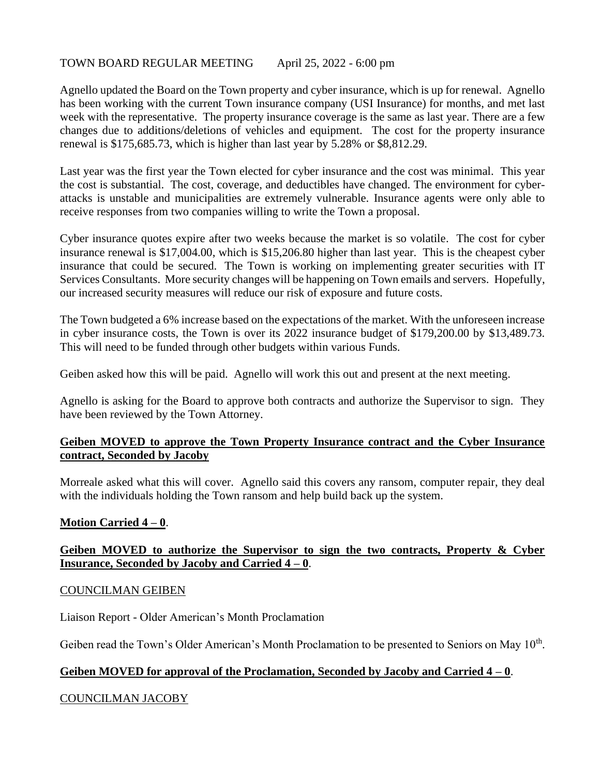### TOWN BOARD REGULAR MEETING April 25, 2022 - 6:00 pm

Agnello updated the Board on the Town property and cyber insurance, which is up for renewal. Agnello has been working with the current Town insurance company (USI Insurance) for months, and met last week with the representative. The property insurance coverage is the same as last year. There are a few changes due to additions/deletions of vehicles and equipment. The cost for the property insurance renewal is \$175,685.73, which is higher than last year by 5.28% or \$8,812.29.

Last year was the first year the Town elected for cyber insurance and the cost was minimal. This year the cost is substantial. The cost, coverage, and deductibles have changed. The environment for cyberattacks is unstable and municipalities are extremely vulnerable. Insurance agents were only able to receive responses from two companies willing to write the Town a proposal.

Cyber insurance quotes expire after two weeks because the market is so volatile. The cost for cyber insurance renewal is \$17,004.00, which is \$15,206.80 higher than last year. This is the cheapest cyber insurance that could be secured. The Town is working on implementing greater securities with IT Services Consultants. More security changes will be happening on Town emails and servers. Hopefully, our increased security measures will reduce our risk of exposure and future costs.

The Town budgeted a 6% increase based on the expectations of the market. With the unforeseen increase in cyber insurance costs, the Town is over its 2022 insurance budget of \$179,200.00 by \$13,489.73. This will need to be funded through other budgets within various Funds.

Geiben asked how this will be paid. Agnello will work this out and present at the next meeting.

Agnello is asking for the Board to approve both contracts and authorize the Supervisor to sign. They have been reviewed by the Town Attorney.

## **Geiben MOVED to approve the Town Property Insurance contract and the Cyber Insurance contract, Seconded by Jacoby**

Morreale asked what this will cover. Agnello said this covers any ransom, computer repair, they deal with the individuals holding the Town ransom and help build back up the system.

## **Motion Carried 4 – 0**.

## **Geiben MOVED to authorize the Supervisor to sign the two contracts, Property & Cyber Insurance, Seconded by Jacoby and Carried 4 – 0**.

#### COUNCILMAN GEIBEN

Liaison Report - Older American's Month Proclamation

Geiben read the Town's Older American's Month Proclamation to be presented to Seniors on May 10<sup>th</sup>.

## **Geiben MOVED for approval of the Proclamation, Seconded by Jacoby and Carried 4 – 0**.

## COUNCILMAN JACOBY